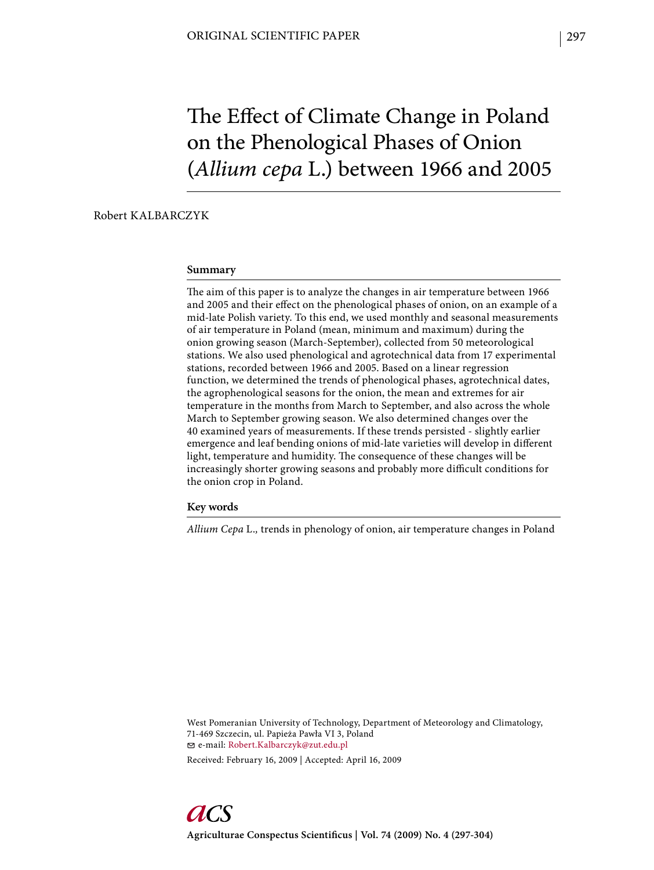# The Effect of Climate Change in Poland on the Phenological Phases of Onion (*Allium cepa* L.) between 1966 and 2005

# Robert KALBARCZYK

#### **Summary**

The aim of this paper is to analyze the changes in air temperature between 1966 and 2005 and their effect on the phenological phases of onion, on an example of a mid-late Polish variety. To this end, we used monthly and seasonal measurements of air temperature in Poland (mean, minimum and maximum) during the onion growing season (March-September), collected from 50 meteorological stations. We also used phenological and agrotechnical data from 17 experimental stations, recorded between 1966 and 2005. Based on a linear regression function, we determined the trends of phenological phases, agrotechnical dates, the agrophenological seasons for the onion, the mean and extremes for air temperature in the months from March to September, and also across the whole March to September growing season. We also determined changes over the 40 examined years of measurements. If these trends persisted - slightly earlier emergence and leaf bending onions of mid-late varieties will develop in different light, temperature and humidity. The consequence of these changes will be increasingly shorter growing seasons and probably more difficult conditions for the onion crop in Poland.

#### **Key words**

*Allium Cepa* L.*,* trends in phenology of onion, air temperature changes in Poland

West Pomeranian University of Technology, Department of Meteorology and Climatology, 71-469 Szczecin, ul. Papieża Pawła VI 3, Poland e-mail: Robert.Kalbarczyk@zut.edu.pl

Received: February 16, 2009 | Accepted: April 16, 2009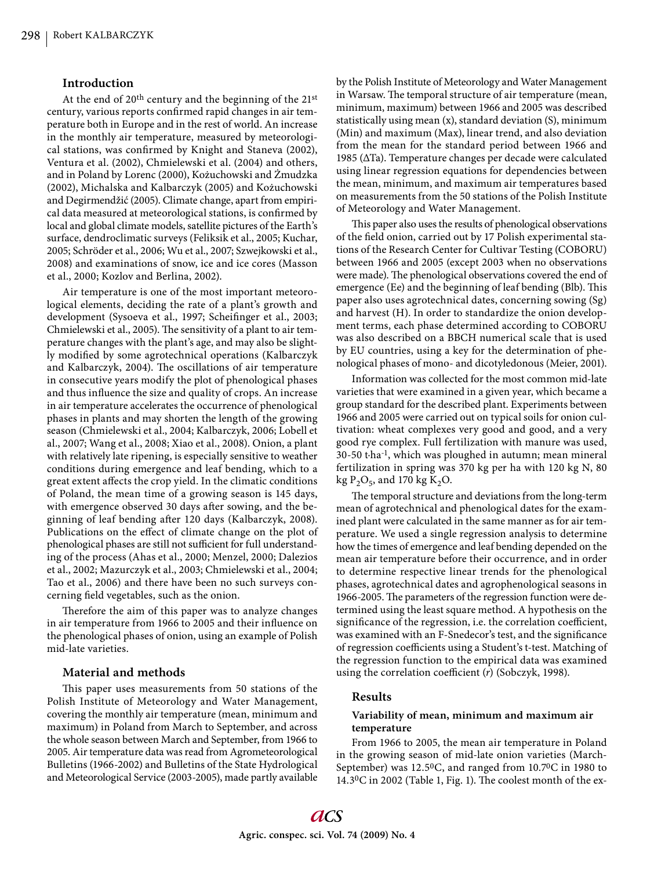## **Introduction**

At the end of 20th century and the beginning of the 21st century, various reports confirmed rapid changes in air temperature both in Europe and in the rest of world. An increase in the monthly air temperature, measured by meteorological stations, was confirmed by Knight and Staneva (2002), Ventura et al. (2002), Chmielewski et al. (2004) and others, and in Poland by Lorenc (2000), Kożuchowski and Żmudzka (2002), Michalska and Kalbarczyk (2005) and Kożuchowski and Degirmendžić (2005). Climate change, apart from empirical data measured at meteorological stations, is confirmed by local and global climate models, satellite pictures of the Earth's surface, dendroclimatic surveys (Feliksik et al., 2005; Kuchar, 2005; Schröder et al., 2006; Wu et al., 2007; Szwejkowski et al., 2008) and examinations of snow, ice and ice cores (Masson et al., 2000; Kozlov and Berlina, 2002).

Air temperature is one of the most important meteorological elements, deciding the rate of a plant's growth and development (Sysoeva et al., 1997; Scheifinger et al., 2003; Chmielewski et al., 2005). The sensitivity of a plant to air temperature changes with the plant's age, and may also be slightly modified by some agrotechnical operations (Kalbarczyk and Kalbarczyk, 2004). The oscillations of air temperature in consecutive years modify the plot of phenological phases and thus influence the size and quality of crops. An increase in air temperature accelerates the occurrence of phenological phases in plants and may shorten the length of the growing season (Chmielewski et al., 2004; Kalbarczyk, 2006; Lobell et al., 2007; Wang et al., 2008; Xiao et al., 2008). Onion, a plant with relatively late ripening, is especially sensitive to weather conditions during emergence and leaf bending, which to a great extent affects the crop yield. In the climatic conditions of Poland, the mean time of a growing season is 145 days, with emergence observed 30 days after sowing, and the beginning of leaf bending after 120 days (Kalbarczyk, 2008). Publications on the effect of climate change on the plot of phenological phases are still not sufficient for full understanding of the process (Ahas et al., 2000; Menzel, 2000; Dalezios et al., 2002; Mazurczyk et al., 2003; Chmielewski et al., 2004; Tao et al., 2006) and there have been no such surveys concerning field vegetables, such as the onion.

Therefore the aim of this paper was to analyze changes in air temperature from 1966 to 2005 and their influence on the phenological phases of onion, using an example of Polish mid-late varieties.

#### **Material and methods**

This paper uses measurements from 50 stations of the Polish Institute of Meteorology and Water Management, covering the monthly air temperature (mean, minimum and maximum) in Poland from March to September, and across the whole season between March and September, from 1966 to 2005. Air temperature data was read from Agrometeorological Bulletins (1966-2002) and Bulletins of the State Hydrological and Meteorological Service (2003-2005), made partly available by the Polish Institute of Meteorology and Water Management in Warsaw. The temporal structure of air temperature (mean, minimum, maximum) between 1966 and 2005 was described statistically using mean (x), standard deviation (S), minimum (Min) and maximum (Max), linear trend, and also deviation from the mean for the standard period between 1966 and 1985 (ΔTa). Temperature changes per decade were calculated using linear regression equations for dependencies between the mean, minimum, and maximum air temperatures based on measurements from the 50 stations of the Polish Institute of Meteorology and Water Management.

This paper also uses the results of phenological observations of the field onion, carried out by 17 Polish experimental stations of the Research Center for Cultivar Testing (COBORU) between 1966 and 2005 (except 2003 when no observations were made). The phenological observations covered the end of emergence (Ee) and the beginning of leaf bending (Blb). This paper also uses agrotechnical dates, concerning sowing (Sg) and harvest (H). In order to standardize the onion development terms, each phase determined according to COBORU was also described on a BBCH numerical scale that is used by EU countries, using a key for the determination of phenological phases of mono- and dicotyledonous (Meier, 2001).

Information was collected for the most common mid-late varieties that were examined in a given year, which became a group standard for the described plant. Experiments between 1966 and 2005 were carried out on typical soils for onion cultivation: wheat complexes very good and good, and a very good rye complex. Full fertilization with manure was used, 30-50 t·ha-1, which was ploughed in autumn; mean mineral fertilization in spring was 370 kg per ha with 120 kg N, 80 kg  $P_2O_5$ , and 170 kg K<sub>2</sub>O.

The temporal structure and deviations from the long-term mean of agrotechnical and phenological dates for the examined plant were calculated in the same manner as for air temperature. We used a single regression analysis to determine how the times of emergence and leaf bending depended on the mean air temperature before their occurrence, and in order to determine respective linear trends for the phenological phases, agrotechnical dates and agrophenological seasons in 1966-2005. The parameters of the regression function were determined using the least square method. A hypothesis on the significance of the regression, i.e. the correlation coefficient, was examined with an F-Snedecor's test, and the significance of regression coefficients using a Student's t-test. Matching of the regression function to the empirical data was examined using the correlation coefficient (*r*) (Sobczyk, 1998).

## **Results**

## **Variability of mean, minimum and maximum air temperature**

From 1966 to 2005, the mean air temperature in Poland in the growing season of mid-late onion varieties (March-September) was 12.50C, and ranged from 10.70C in 1980 to 14.3 $^0$ C in 2002 (Table 1, Fig. 1). The coolest month of the ex-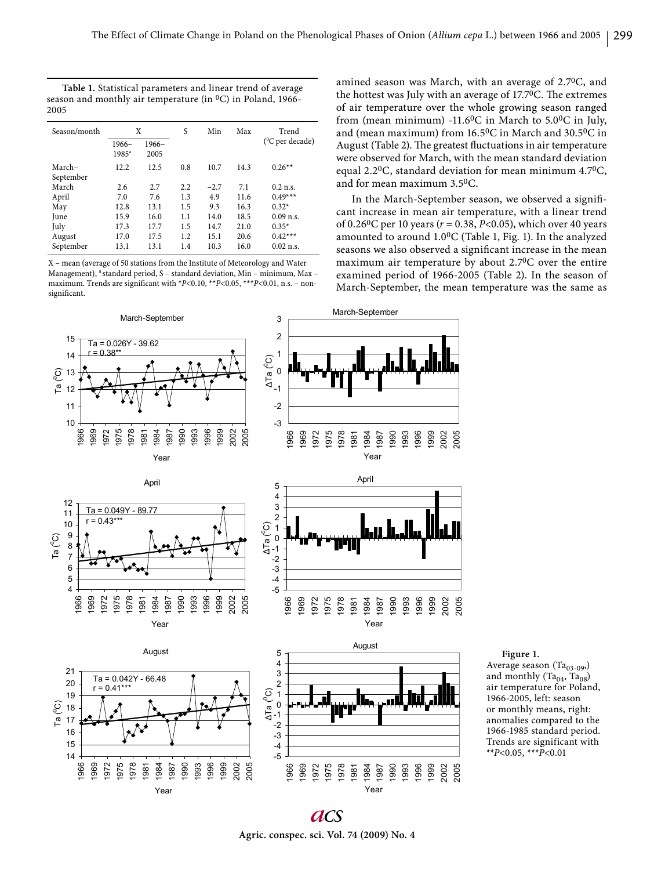March-September

1975 1978 1981

| Table 1. Statistical parameters and linear trend of average         |  |
|---------------------------------------------------------------------|--|
| season and monthly air temperature (in ${}^{0}C$ ) in Poland, 1966- |  |
| 2005                                                                |  |

| Season/month | X                   |                 | S   | Min    | Max  | Trend                |
|--------------|---------------------|-----------------|-----|--------|------|----------------------|
|              | $1966-$<br>$1985^a$ | $1966-$<br>2005 |     |        |      | $(^{0}C$ per decade) |
| March-       | 12.2                | 12.5            | 0.8 | 10.7   | 14.3 | $0.26**$             |
| September    |                     |                 |     |        |      |                      |
| March        | 2.6                 | 2.7             | 2.2 | $-2.7$ | 7.1  | $0.2$ n.s.           |
| April        | 7.0                 | 7.6             | 1.3 | 4.9    | 11.6 | $0.49***$            |
| May          | 12.8                | 13.1            | 1.5 | 9.3    | 16.3 | $0.32*$              |
| June         | 15.9                | 16.0            | 1.1 | 14.0   | 18.5 | $0.09$ n.s.          |
| July         | 17.3                | 17.7            | 1.5 | 14.7   | 21.0 | $0.35*$              |
| August       | 17.0                | 17.5            | 1.2 | 15.1   | 20.6 | $0.42***$            |
| September    | 13.1                | 13.1            | 1.4 | 10.3   | 16.0 | $0.02$ n.s.          |

X – mean (average of 50 stations from the Institute of Meteorology and Water Management), <sup>a</sup> standard period, S - standard deviation, Min - minimum, Max maximum. Trends are significant with \*P<0.10, \*\*P<0.05, \*\*\*P<0.01, n.s. - nonsignificant.

March-September Ta = 0.026Y - 39.62 r = 0.38\*\* 10 11 12 13  $14$ 15 1966 1969 1972 1975 1978 1981 1984 1987 1990 1993 1996 1999 2002 2005 Year Ta $(0)$ -3 -2 -1 0 1 2 3 1966 1969 1972  $\Delta$ Ta ( $^{\circ}$ C)

April

Year

 $Ta = 0.049Y - 89.77$  $0.43***$ 

Ta (0C)

1966 1969 1972 1975 1978 1981 1984 1987 1990 1993 1996 1999 2002 2005 amined season was March, with an average of 2.70C, and the hottest was July with an average of  $17.7$ <sup>0</sup>C. The extremes of air temperature over the whole growing season ranged from (mean minimum) -11.60C in March to 5.00C in July, and (mean maximum) from 16.50C in March and 30.50C in August (Table 2). The greatest fluctuations in air temperature were observed for March, with the mean standard deviation equal 2.20C, standard deviation for mean minimum 4.70C, and for mean maximum 3.50C.

In the March-September season, we observed a significant increase in mean air temperature, with a linear trend of 0.260C per 10 years (*r* = 0.38, *P*<0.05), which over 40 years amounted to around 1.00C (Table 1, Fig. 1). In the analyzed seasons we also observed a significant increase in the mean maximum air temperature by about 2.70C over the entire examined period of 1966-2005 (Table 2). In the season of March-September, the mean temperature was the same as





-5 -4 -3 -2 -1 0 1 2 3 4 5

ǻTa (0C)

1966 1969 1972 1975 1978 1981

**a**cs **Agric. conspec. sci. Vol. 74 (2009) No. 4**

Average season  $(Ta_{03-09})$ and monthly  $(Ta_{04}, Ta_{08})$ air temperature for Poland, 1966-2005, left: season or monthly means, right: anomalies compared to the 1966-1985 standard period.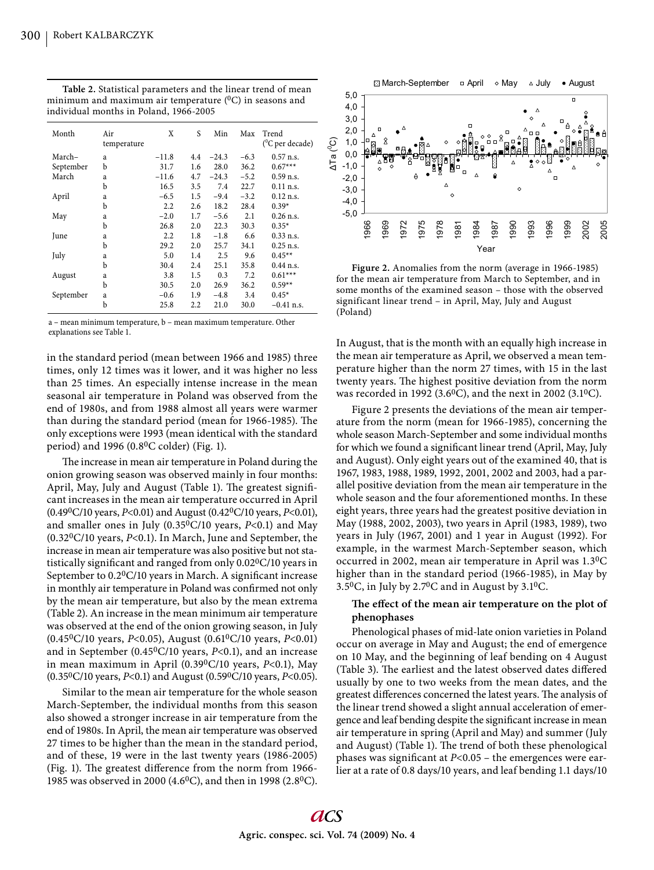| Month     | Air<br>temperature | X                | S   | Min     | Max    | Trend<br>$(^0C$ per decade) |
|-----------|--------------------|------------------|-----|---------|--------|-----------------------------|
| March-    | a                  | $-11.8$          | 4.4 | $-24.3$ | $-6.3$ | $0.57$ n.s.                 |
| September | b                  | 31.7             | 1.6 | 28.0    | 36.2   | $0.67***$                   |
| March     | a                  | $-11.6$          | 4.7 | $-24.3$ | $-5.2$ | $0.59$ n.s.                 |
|           | b                  | 16.5             | 3.5 | 7.4     | 22.7   | $0.11$ n.s.                 |
| April     | a                  | $-6.5$           | 1.5 | $-9.4$  | $-3.2$ | $0.12$ n.s.                 |
|           | b                  | 2.2              | 2.6 | 18.2    | 28.4   | $0.39*$                     |
| May       | a                  | $-2.0$           | 1.7 | $-5.6$  | 2.1    | $0.26$ n.s.                 |
|           | b                  | 26.8             | 2.0 | 22.3    | 30.3   | $0.35*$                     |
| June      | a                  | $2.2\phantom{0}$ | 1.8 | $-1.8$  | 6.6    | $0.33$ n.s.                 |
|           | b                  | 29.2             | 2.0 | 25.7    | 34.1   | $0.25$ n.s.                 |
| July      | a                  | 5.0              | 1.4 | 2.5     | 9.6    | $0.45**$                    |
|           | b                  | 30.4             | 2.4 | 25.1    | 35.8   | $0.44$ n.s.                 |
| August    | a                  | 3.8              | 1.5 | 0.3     | 7.2    | $0.61***$                   |
|           | b                  | 30.5             | 2.0 | 26.9    | 36.2   | $0.59**$                    |
| September | a                  | $-0.6$           | 1.9 | $-4.8$  | 3.4    | $0.45*$                     |
|           | b                  | 25.8             | 2.2 | 21.0    | 30.0   | $-0.41$ n.s.                |

**Table 2.** Statistical parameters and the linear trend of mean minimum and maximum air temperature  $(0C)$  in seasons and individual months in Poland, 1966-2005

a – mean minimum temperature, b – mean maximum temperature. Other explanations see Table 1.

in the standard period (mean between 1966 and 1985) three times, only 12 times was it lower, and it was higher no less than 25 times. An especially intense increase in the mean seasonal air temperature in Poland was observed from the end of 1980s, and from 1988 almost all years were warmer than during the standard period (mean for 1966-1985). The only exceptions were 1993 (mean identical with the standard period) and 1996 (0.80C colder) (Fig. 1).

The increase in mean air temperature in Poland during the onion growing season was observed mainly in four months: April, May, July and August (Table 1). The greatest significant increases in the mean air temperature occurred in April (0.490C/10 years, *P*<0.01) and August (0.420C/10 years, *P*<0.01), and smaller ones in July (0.35<sup>0</sup>C/10 years, *P*<0.1) and May (0.320C/10 years, *P*<0.1). In March, June and September, the increase in mean air temperature was also positive but not statistically significant and ranged from only 0.02<sup>0</sup>C/10 years in September to  $0.2$ <sup>0</sup>C/10 years in March. A significant increase in monthly air temperature in Poland was confirmed not only by the mean air temperature, but also by the mean extrema (Table 2). An increase in the mean minimum air temperature was observed at the end of the onion growing season, in July (0.450C/10 years, *P*<0.05), August (0.610C/10 years, *P*<0.01) and in September (0.450C/10 years, *P*<0.1), and an increase in mean maximum in April (0.390C/10 years, *P*<0.1), May (0.350C/10 years, *P*<0.1) and August (0.590C/10 years, *P*<0.05).

Similar to the mean air temperature for the whole season March-September, the individual months from this season also showed a stronger increase in air temperature from the end of 1980s. In April, the mean air temperature was observed 27 times to be higher than the mean in the standard period, and of these, 19 were in the last twenty years (1986-2005) (Fig. 1). The greatest difference from the norm from  $1966$ -1985 was observed in 2000 (4.60C), and then in 1998 (2.80C).



**Figure 2.** Anomalies from the norm (average in 1966-1985) for the mean air temperature from March to September, and in some months of the examined season – those with the observed significant linear trend – in April, May, July and August (Poland)

In August, that is the month with an equally high increase in the mean air temperature as April, we observed a mean temperature higher than the norm 27 times, with 15 in the last twenty years. The highest positive deviation from the norm was recorded in 1992 (3.60C), and the next in 2002 (3.10C).

Figure 2 presents the deviations of the mean air temperature from the norm (mean for 1966-1985), concerning the whole season March-September and some individual months for which we found a significant linear trend (April, May, July and August). Only eight years out of the examined 40, that is 1967, 1983, 1988, 1989, 1992, 2001, 2002 and 2003, had a parallel positive deviation from the mean air temperature in the whole season and the four aforementioned months. In these eight years, three years had the greatest positive deviation in May (1988, 2002, 2003), two years in April (1983, 1989), two years in July (1967, 2001) and 1 year in August (1992). For example, in the warmest March-September season, which occurred in 2002, mean air temperature in April was 1.30C higher than in the standard period (1966-1985), in May by 3.50C, in July by 2.70C and in August by 3.10C.

# The effect of the mean air temperature on the plot of **phenophases**

Phenological phases of mid-late onion varieties in Poland occur on average in May and August; the end of emergence on 10 May, and the beginning of leaf bending on 4 August (Table 3). The earliest and the latest observed dates differed usually by one to two weeks from the mean dates, and the greatest differences concerned the latest years. The analysis of the linear trend showed a slight annual acceleration of emergence and leaf bending despite the significant increase in mean air temperature in spring (April and May) and summer (July and August) (Table 1). The trend of both these phenological phases was significant at  $P < 0.05$  – the emergences were earlier at a rate of 0.8 days/10 years, and leaf bending 1.1 days/10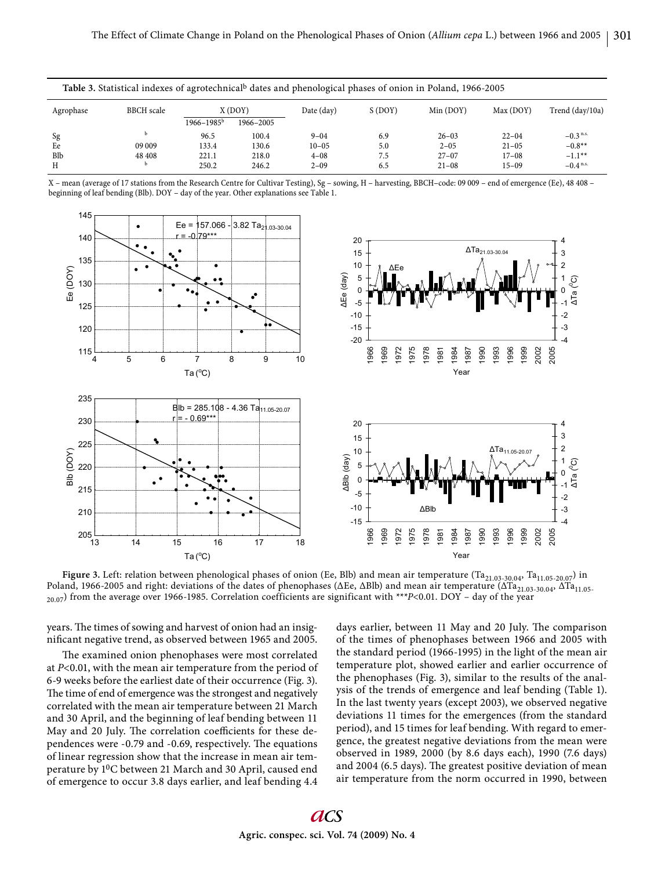| Table 3. Statistical indexes of agrotechnical dates and phenological phases of onion in Poland, 1966-2005 |        |                 |           |            |        |           |           |                        |
|-----------------------------------------------------------------------------------------------------------|--------|-----------------|-----------|------------|--------|-----------|-----------|------------------------|
| <b>BBCH</b> scale<br>Agrophase                                                                            |        | X (DOY)         |           | Date (day) | S(DOY) | Min (DOY) | Max (DOY) | Trend (day/10a)        |
|                                                                                                           |        | $1966 - 1985^b$ | 1966-2005 |            |        |           |           |                        |
| Sg                                                                                                        |        | 96.5            | 100.4     | $9 - 04$   | 6.9    | $26 - 03$ | $22 - 04$ | $-0.3$ <sup>n.s.</sup> |
| Ee                                                                                                        | 09 009 | 133.4           | 130.6     | $10 - 05$  | 5.0    | $2 - 05$  | $21 - 05$ | $-0.8**$               |
| Blb                                                                                                       | 48 408 | 221.1           | 218.0     | $4 - 08$   | 7.5    | $27 - 07$ | $17 - 08$ | $-1.1***$              |
| H                                                                                                         |        | 250.2           | 246.2     | $2 - 09$   | 6.5    | $21 - 08$ | $15 - 09$ | $-0.4$ <sup>n.s.</sup> |

X – mean (average of 17 stations from the Research Centre for Cultivar Testing), Sg – sowing, H – harvesting, BBCH–code: 09 009 – end of emergence (Ee), 48 408 – beginning of leaf bending (Blb). DOY – day of the year. Other explanations see Table 1.



Figure 3. Left: relation between phenological phases of onion (Ee, Blb) and mean air temperature (Ta<sub>21.03-30.04</sub>, Ta<sub>11.05-20.07</sub>) in Poland, 1966-2005 and right: deviations of the dates of phenophases (ΔEe, ΔBlb) and mean air temperature (ΔTa<sub>21.03-30.04</sub>, ΔTa<sub>11.05-</sub>  $_{20.07}$ ) from the average over 1966-1985. Correlation coefficients are significant with \*\*\* $P$ <0.01. DOY – day of the year

years. The times of sowing and harvest of onion had an insignificant negative trend, as observed between 1965 and 2005.

The examined onion phenophases were most correlated at *P*<0.01, with the mean air temperature from the period of 6-9 weeks before the earliest date of their occurrence (Fig. 3). The time of end of emergence was the strongest and negatively correlated with the mean air temperature between 21 March and 30 April, and the beginning of leaf bending between 11 May and 20 July. The correlation coefficients for these dependences were -0.79 and -0.69, respectively. The equations of linear regression show that the increase in mean air temperature by 10C between 21 March and 30 April, caused end of emergence to occur 3.8 days earlier, and leaf bending 4.4

days earlier, between 11 May and 20 July. The comparison of the times of phenophases between 1966 and 2005 with the standard period (1966-1995) in the light of the mean air temperature plot, showed earlier and earlier occurrence of the phenophases (Fig. 3), similar to the results of the analysis of the trends of emergence and leaf bending (Table 1). In the last twenty years (except 2003), we observed negative deviations 11 times for the emergences (from the standard period), and 15 times for leaf bending. With regard to emergence, the greatest negative deviations from the mean were observed in 1989, 2000 (by 8.6 days each), 1990 (7.6 days) and 2004 (6.5 days). The greatest positive deviation of mean air temperature from the norm occurred in 1990, between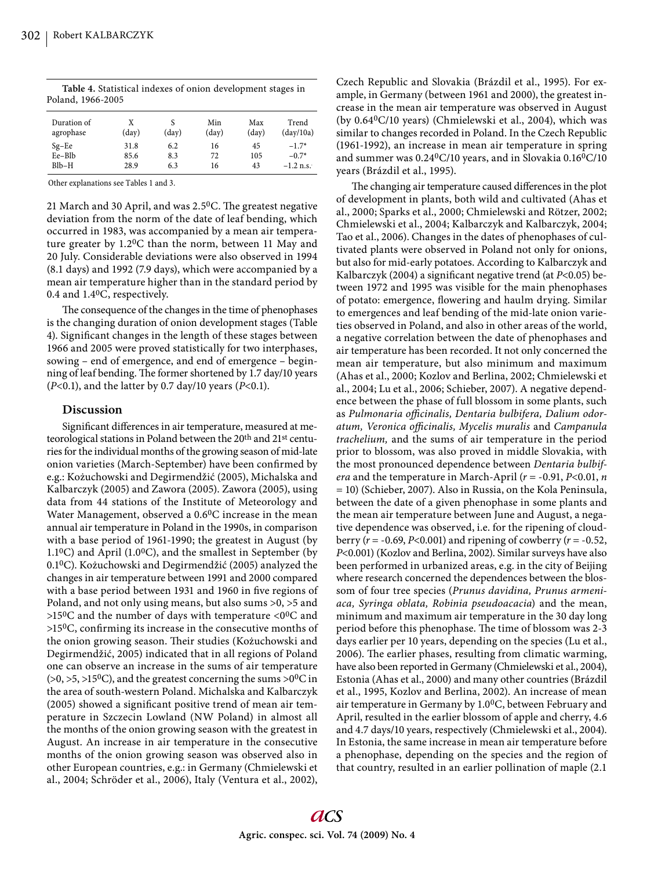| Duration of<br>agrophase | X<br>$\text{(day)}$ | $\text{(day)}$ | Min<br>$\text{(day)}$ | Max<br>(dav) | Trend<br>$\frac{day}{10a}$ |
|--------------------------|---------------------|----------------|-----------------------|--------------|----------------------------|
| $Sg-Ee$                  | 31.8                | 6.2            | 16                    | 45           | $-1.7*$                    |
| Ee-Blb                   | 85.6                | 8.3            | 72                    | 105          | $-0.7*$                    |
| $B1b-H$                  | 28.9                | 6.3            | 16                    | 43           | $-1.2$ n.s.                |

**Table 4.** Statistical indexes of onion development stages in Poland, 1966-2005

Other explanations see Tables 1 and 3.

21 March and 30 April, and was  $2.5$ <sup>0</sup>C. The greatest negative deviation from the norm of the date of leaf bending, which occurred in 1983, was accompanied by a mean air temperature greater by 1.20C than the norm, between 11 May and 20 July. Considerable deviations were also observed in 1994 (8.1 days) and 1992 (7.9 days), which were accompanied by a mean air temperature higher than in the standard period by 0.4 and 1.40C, respectively.

The consequence of the changes in the time of phenophases is the changing duration of onion development stages (Table 4). Significant changes in the length of these stages between 1966 and 2005 were proved statistically for two interphases, sowing – end of emergence, and end of emergence – beginning of leaf bending. The former shortened by 1.7 day/10 years (*P*<0.1), and the latter by 0.7 day/10 years (*P*<0.1).

## **Discussion**

Significant differences in air temperature, measured at meteorological stations in Poland between the 20<sup>th</sup> and 21<sup>st</sup> centuries for the individual months of the growing season of mid-late onion varieties (March-September) have been confirmed by e.g.: Kożuchowski and Degirmendžić (2005), Michalska and Kalbarczyk (2005) and Zawora (2005). Zawora (2005), using data from 44 stations of the Institute of Meteorology and Water Management, observed a 0.6<sup>0</sup>C increase in the mean annual air temperature in Poland in the 1990s, in comparison with a base period of 1961-1990; the greatest in August (by  $1.1\degree$ C) and April (1.0 $\degree$ C), and the smallest in September (by 0.10C). Kożuchowski and Degirmendžić (2005) analyzed the changes in air temperature between 1991 and 2000 compared with a base period between 1931 and 1960 in five regions of Poland, and not only using means, but also sums >0, >5 and  $>150$ C and the number of days with temperature  $< 00$ C and  $>15^{0}$ C, confirming its increase in the consecutive months of the onion growing season. Their studies (Kożuchowski and Degirmendžić, 2005) indicated that in all regions of Poland one can observe an increase in the sums of air temperature  $(0, 0, 0.5, 0.5)$ , and the greatest concerning the sums  $0<sup>0</sup>C$  in the area of south-western Poland. Michalska and Kalbarczyk (2005) showed a significant positive trend of mean air temperature in Szczecin Lowland (NW Poland) in almost all the months of the onion growing season with the greatest in August. An increase in air temperature in the consecutive months of the onion growing season was observed also in other European countries, e.g.: in Germany (Chmielewski et al., 2004; Schröder et al., 2006), Italy (Ventura et al., 2002),

Czech Republic and Slovakia (Brázdil et al., 1995). For example, in Germany (between 1961 and 2000), the greatest increase in the mean air temperature was observed in August (by 0.640C/10 years) (Chmielewski et al., 2004), which was similar to changes recorded in Poland. In the Czech Republic (1961-1992), an increase in mean air temperature in spring and summer was 0.240C/10 years, and in Slovakia 0.160C/10 years (Brázdil et al., 1995).

The changing air temperature caused differences in the plot of development in plants, both wild and cultivated (Ahas et al., 2000; Sparks et al., 2000; Chmielewski and Rötzer, 2002; Chmielewski et al., 2004; Kalbarczyk and Kalbarczyk, 2004; Tao et al., 2006). Changes in the dates of phenophases of cultivated plants were observed in Poland not only for onions, but also for mid-early potatoes. According to Kalbarczyk and Kalbarczyk (2004) a significant negative trend (at *P*<0.05) between 1972 and 1995 was visible for the main phenophases of potato: emergence, flowering and haulm drying. Similar to emergences and leaf bending of the mid-late onion varieties observed in Poland, and also in other areas of the world, a negative correlation between the date of phenophases and air temperature has been recorded. It not only concerned the mean air temperature, but also minimum and maximum (Ahas et al., 2000; Kozlov and Berlina, 2002; Chmielewski et al., 2004; Lu et al., 2006; Schieber, 2007). A negative dependence between the phase of full blossom in some plants, such as Pulmonaria officinalis, Dentaria bulbifera, Dalium odor*atum, Veronica offi cinalis, Mycelis muralis* and *Campanula trachelium,* and the sums of air temperature in the period prior to blossom, was also proved in middle Slovakia, with the most pronounced dependence between *Dentaria bulbifera* and the temperature in March-April (*r* = -0.91, *P*<0.01, *n* = 10) (Schieber, 2007). Also in Russia, on the Kola Peninsula, between the date of a given phenophase in some plants and the mean air temperature between June and August, a negative dependence was observed, i.e. for the ripening of cloudberry (*r* = -0.69, *P*<0.001) and ripening of cowberry (*r* = -0.52, *P*<0.001) (Kozlov and Berlina, 2002). Similar surveys have also been performed in urbanized areas, e.g. in the city of Beijing where research concerned the dependences between the blossom of four tree species (*Prunus davidina, Prunus armeniaca, Syringa oblata, Robinia pseudoacacia*) and the mean, minimum and maximum air temperature in the 30 day long period before this phenophase. The time of blossom was 2-3 days earlier per 10 years, depending on the species (Lu et al., 2006). The earlier phases, resulting from climatic warming, have also been reported in Germany (Chmielewski et al., 2004), Estonia (Ahas et al., 2000) and many other countries (Brázdil et al., 1995, Kozlov and Berlina, 2002). An increase of mean air temperature in Germany by 1.00C, between February and April, resulted in the earlier blossom of apple and cherry, 4.6 and 4.7 days/10 years, respectively (Chmielewski et al., 2004). In Estonia, the same increase in mean air temperature before a phenophase, depending on the species and the region of that country, resulted in an earlier pollination of maple (2.1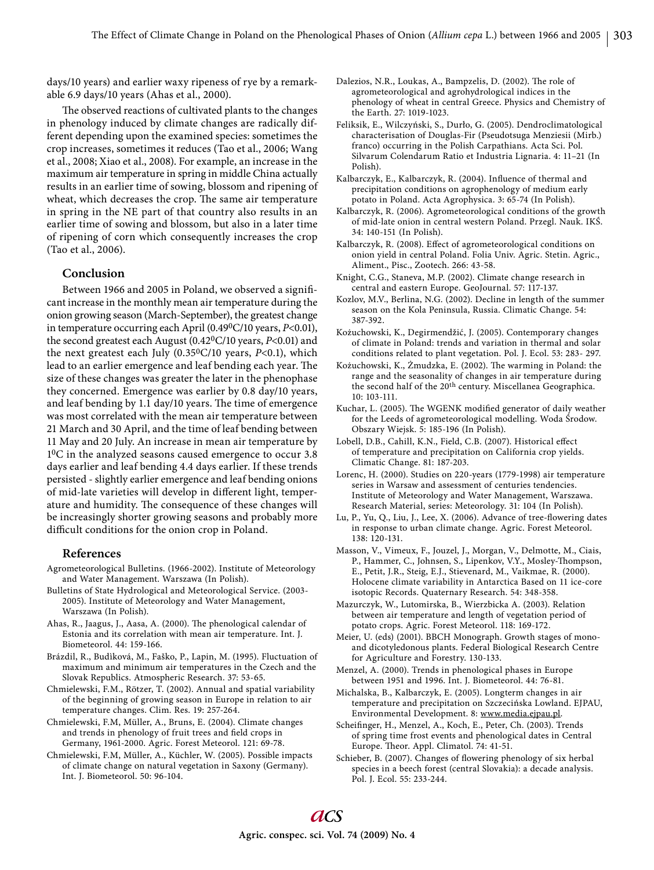days/10 years) and earlier waxy ripeness of rye by a remarkable 6.9 days/10 years (Ahas et al., 2000).

The observed reactions of cultivated plants to the changes in phenology induced by climate changes are radically different depending upon the examined species: sometimes the crop increases, sometimes it reduces (Tao et al., 2006; Wang et al., 2008; Xiao et al., 2008). For example, an increase in the maximum air temperature in spring in middle China actually results in an earlier time of sowing, blossom and ripening of wheat, which decreases the crop. The same air temperature in spring in the NE part of that country also results in an earlier time of sowing and blossom, but also in a later time of ripening of corn which consequently increases the crop (Tao et al., 2006).

## **Conclusion**

Between 1966 and 2005 in Poland, we observed a significant increase in the monthly mean air temperature during the onion growing season (March-September), the greatest change in temperature occurring each April (0.490C/10 years, *P*<0.01), the second greatest each August (0.420C/10 years, *P*<0.01) and the next greatest each July (0.350C/10 years, *P*<0.1), which lead to an earlier emergence and leaf bending each year. The size of these changes was greater the later in the phenophase they concerned. Emergence was earlier by 0.8 day/10 years, and leaf bending by 1.1 day/10 years. The time of emergence was most correlated with the mean air temperature between 21 March and 30 April, and the time of leaf bending between 11 May and 20 July. An increase in mean air temperature by 10C in the analyzed seasons caused emergence to occur 3.8 days earlier and leaf bending 4.4 days earlier. If these trends persisted - slightly earlier emergence and leaf bending onions of mid-late varieties will develop in different light, temperature and humidity. The consequence of these changes will be increasingly shorter growing seasons and probably more difficult conditions for the onion crop in Poland.

#### **References**

- Agrometeorological Bulletins. (1966-2002). Institute of Meteorology and Water Management. Warszawa (In Polish).
- Bulletins of State Hydrological and Meteorological Service. (2003- 2005). Institute of Meteorology and Water Management, Warszawa (In Polish).
- Ahas, R., Jaagus, J., Aasa, A. (2000). The phenological calendar of Estonia and its correlation with mean air temperature. Int. J. Biometeorol. 44: 159-166.
- Brázdil, R., Budìková, M., Faško, P., Lapin, M. (1995). Fluctuation of maximum and minimum air temperatures in the Czech and the Slovak Republics. Atmospheric Research. 37: 53-65.
- Chmielewski, F.M., Rötzer, T. (2002). Annual and spatial variability of the beginning of growing season in Europe in relation to air temperature changes. Clim. Res. 19: 257-264.
- Chmielewski, F.M, Müller, A., Bruns, E. (2004). Climate changes and trends in phenology of fruit trees and field crops in Germany, 1961-2000. Agric. Forest Meteorol. 121: 69-78.
- Chmielewski, F.M, Müller, A., Küchler, W. (2005). Possible impacts of climate change on natural vegetation in Saxony (Germany). Int. J. Biometeorol. 50: 96-104.
- Dalezios, N.R., Loukas, A., Bampzelis, D. (2002). The role of agrometeorological and agrohydrological indices in the phenology of wheat in central Greece. Physics and Chemistry of the Earth. 27: 1019-1023.
- Feliksik, E., Wilczyński, S., Durło, G. (2005). Dendroclimatological characterisation of Douglas-Fir (Pseudotsuga Menziesii (Mirb.) franco) occurring in the Polish Carpathians. Acta Sci. Pol. Silvarum Colendarum Ratio et Industria Lignaria. 4: 11–21 (In Polish.
- Kalbarczyk, E., Kalbarczyk, R. (2004). Influence of thermal and precipitation conditions on agrophenology of medium early potato in Poland. Acta Agrophysica. 3: 65-74 (In Polish).
- Kalbarczyk, R. (2006). Agrometeorological conditions of the growth of mid-late onion in central western Poland. Przegl. Nauk. IKŚ. 34: 140-151 (In Polish).
- Kalbarczyk, R. (2008). Effect of agrometeorological conditions on onion yield in central Poland. Folia Univ. Agric. Stetin. Agric., Aliment., Pisc., Zootech. 266: 43-58.
- Knight, C.G., Staneva, M.P. (2002). Climate change research in central and eastern Europe. GeoJournal. 57: 117-137.
- Kozlov, M.V., Berlina, N.G. (2002). Decline in length of the summer season on the Kola Peninsula, Russia. Climatic Change. 54: 387-392.
- Kożuchowski, K., Degirmendžić, J. (2005). Contemporary changes of climate in Poland: trends and variation in thermal and solar conditions related to plant vegetation. Pol. J. Ecol. 53: 283- 297.
- Kożuchowski, K., Żmudzka, E. (2002). The warming in Poland: the range and the seasonality of changes in air temperature during the second half of the 20<sup>th</sup> century. Miscellanea Geographica. 10: 103-111.
- Kuchar, L. (2005). The WGENK modified generator of daily weather for the Leeds of agrometeorological modelling. Woda Środow. Obszary Wiejsk. 5: 185-196 (In Polish).
- Lobell, D.B., Cahill, K.N., Field, C.B. (2007). Historical effect of temperature and precipitation on California crop yields. Climatic Change. 81: 187-203.
- Lorenc, H. (2000). Studies on 220-years (1779-1998) air temperature series in Warsaw and assessment of centuries tendencies. Institute of Meteorology and Water Management, Warszawa. Research Material, series: Meteorology. 31: 104 (In Polish).
- Lu, P., Yu, Q., Liu, J., Lee, X. (2006). Advance of tree-flowering dates in response to urban climate change. Agric. Forest Meteorol. 138: 120-131.
- Masson, V., Vimeux, F., Jouzel, J., Morgan, V., Delmotte, M., Ciais, P., Hammer, C., Johnsen, S., Lipenkov, V.Y., Mosley-Thompson, E., Petit, J.R., Steig, E.J., Stievenard, M., Vaikmae, R. (2000). Holocene climate variability in Antarctica Based on 11 ice-core isotopic Records. Quaternary Research. 54: 348-358.
- Mazurczyk, W., Lutomirska, B., Wierzbicka A. (2003). Relation between air temperature and length of vegetation period of potato crops. Agric. Forest Meteorol. 118: 169-172.
- Meier, U. (eds) (2001). BBCH Monograph. Growth stages of monoand dicotyledonous plants. Federal Biological Research Centre for Agriculture and Forestry. 130-133.
- Menzel, A. (2000). Trends in phenological phases in Europe between 1951 and 1996. Int. J. Biometeorol. 44: 76-81.
- Michalska, B., Kalbarczyk, E. (2005). Longterm changes in air temperature and precipitation on Szczecińska Lowland. EJPAU, Environmental Development. 8: www.media.ejpau.pl.
- Scheifinger, H., Menzel, A., Koch, E., Peter, Ch. (2003). Trends of spring time frost events and phenological dates in Central Europe. Theor. Appl. Climatol. 74: 41-51.
- Schieber, B. (2007). Changes of flowering phenology of six herbal species in a beech forest (central Slovakia): a decade analysis. Pol. J. Ecol. 55: 233-244.